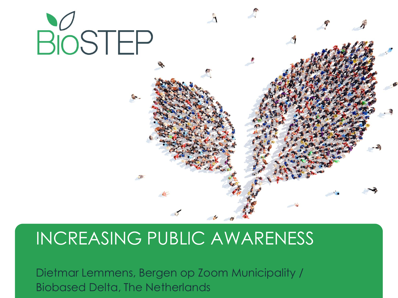

# INCREASING PUBLIC AWARENESS

Dietmar Lemmens, Bergen op Zoom Municipality / Biobased Delta, The Netherlands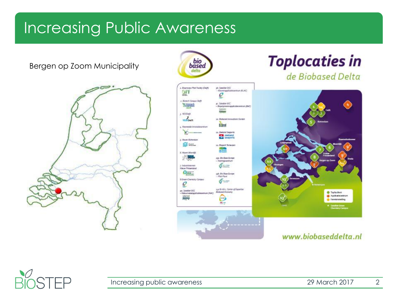Bergen op Zoom Municipality





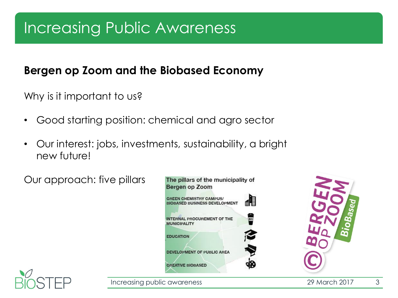### **Bergen op Zoom and the Biobased Economy**

Why is it important to us?

- Good starting position: chemical and agro sector
- Our interest: jobs, investments, sustainability, a bright new future!

Our approach: five pillars





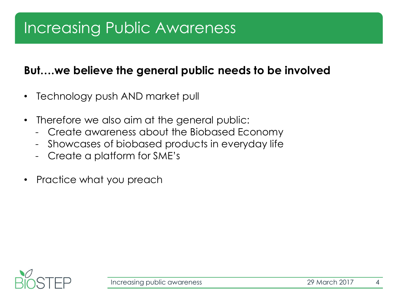### **But….we believe the general public needs to be involved**

- Technology push AND market pull
- Therefore we also aim at the general public:
	- Create awareness about the Biobased Economy
	- Showcases of biobased products in everyday life
	- Create a platform for SME's
- Practice what you preach

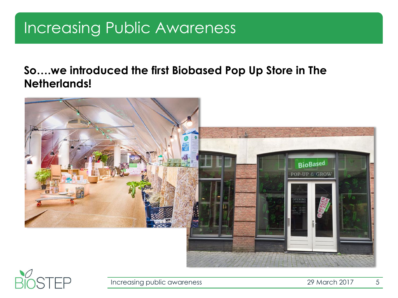#### **So….we introduced the first Biobased Pop Up Store in The Netherlands!**



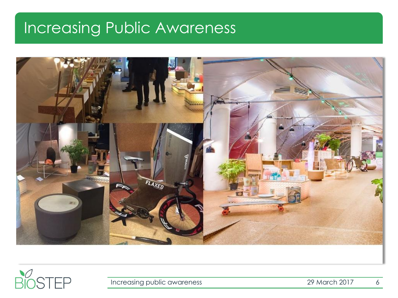



Increasing public awareness and the control of the 2017 of the 2017 of the 2017 of the 2017 of the 2017 of the 2017 of the 2017 of the 2017 of the 2017 of the 2017 of the 2017 of the 2017 of the 2017 of the 2017 of the 201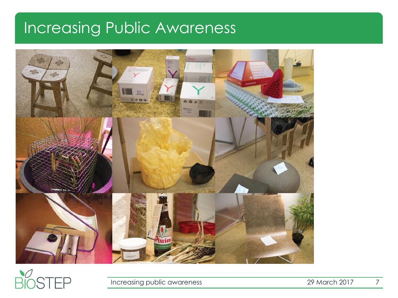



Increasing public awareness 29 March 2017 7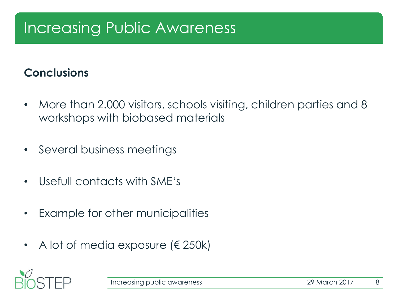### **Conclusions**

- More than 2.000 visitors, schools visiting, children parties and 8 workshops with biobased materials
- Several business meetings
- Usefull contacts with SME's
- Example for other municipalities
- A lot of media exposure ( $\in$  250k)